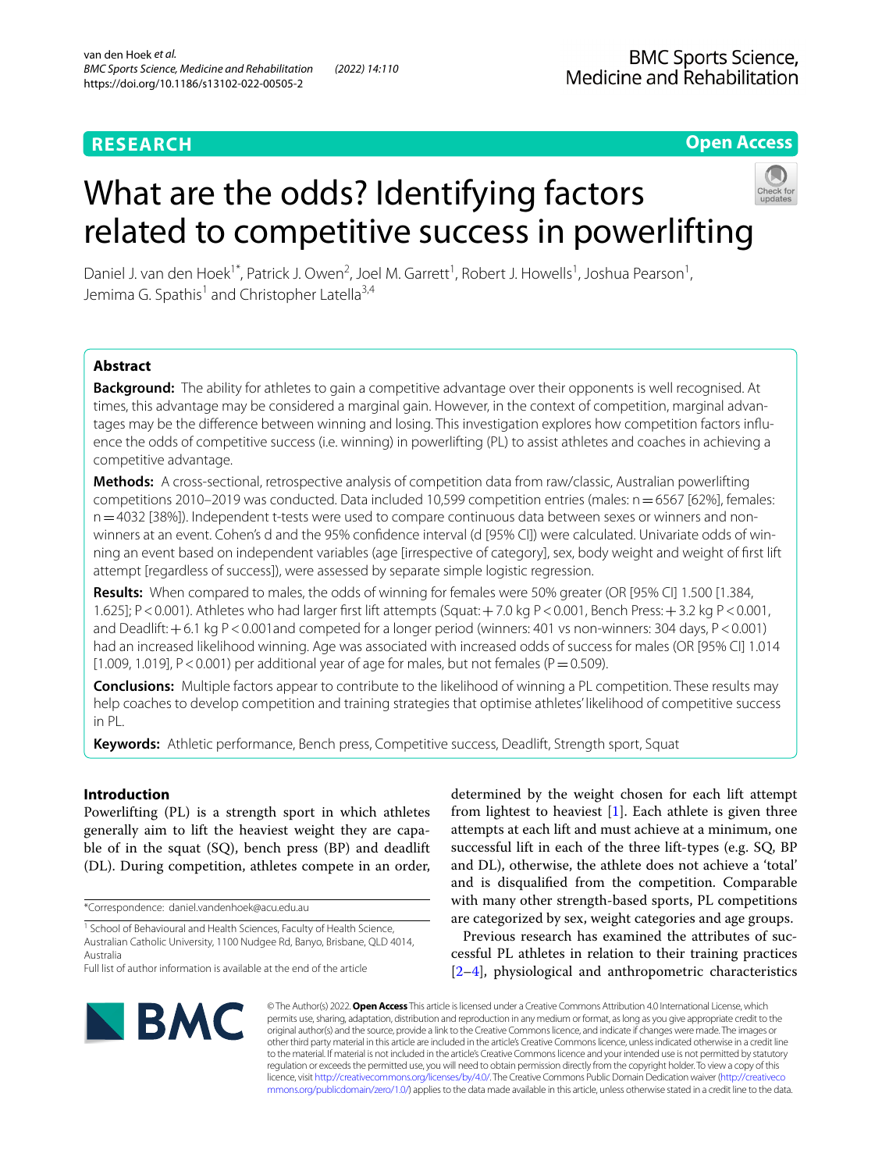## **RESEARCH**

## **Open Access**

# What are the odds? Identifying factors related to competitive success in powerlifting



Daniel J. van den Hoek<sup>1\*</sup>, Patrick J. Owen<sup>2</sup>, Joel M. Garrett<sup>1</sup>, Robert J. Howells<sup>1</sup>, Joshua Pearson<sup>1</sup>, Jemima G. Spathis<sup>1</sup> and Christopher Latella<sup>3,4</sup>

## **Abstract**

**Background:** The ability for athletes to gain a competitive advantage over their opponents is well recognised. At times, this advantage may be considered a marginal gain. However, in the context of competition, marginal advantages may be the diference between winning and losing. This investigation explores how competition factors infuence the odds of competitive success (i.e. winning) in powerlifting (PL) to assist athletes and coaches in achieving a competitive advantage.

**Methods:** A cross-sectional, retrospective analysis of competition data from raw/classic, Australian powerlifting competitions 2010–2019 was conducted. Data included 10,599 competition entries (males: n=6567 [62%], females: n=4032 [38%]). Independent t-tests were used to compare continuous data between sexes or winners and nonwinners at an event. Cohen's d and the 95% confdence interval (d [95% CI]) were calculated. Univariate odds of winning an event based on independent variables (age [irrespective of category], sex, body weight and weight of frst lift attempt [regardless of success]), were assessed by separate simple logistic regression.

**Results:** When compared to males, the odds of winning for females were 50% greater (OR [95% CI] 1.500 [1.384, 1.625]; P<0.001). Athletes who had larger frst lift attempts (Squat:+7.0 kg P<0.001, Bench Press:+3.2 kg P<0.001, and Deadlift: +6.1 kg P<0.001and competed for a longer period (winners: 401 vs non-winners: 304 days, P<0.001) had an increased likelihood winning. Age was associated with increased odds of success for males (OR [95% CI] 1.014 [1.009, 1.019],  $P < 0.001$ ) per additional year of age for males, but not females ( $P = 0.509$ ).

**Conclusions:** Multiple factors appear to contribute to the likelihood of winning a PL competition. These results may help coaches to develop competition and training strategies that optimise athletes' likelihood of competitive success in PL.

**Keywords:** Athletic performance, Bench press, Competitive success, Deadlift, Strength sport, Squat

## **Introduction**

Powerlifting (PL) is a strength sport in which athletes generally aim to lift the heaviest weight they are capable of in the squat (SQ), bench press (BP) and deadlift (DL). During competition, athletes compete in an order,

\*Correspondence: daniel.vandenhoek@acu.edu.au

determined by the weight chosen for each lift attempt from lightest to heaviest  $[1]$  $[1]$ . Each athlete is given three attempts at each lift and must achieve at a minimum, one successful lift in each of the three lift-types (e.g. SQ, BP and DL), otherwise, the athlete does not achieve a 'total' and is disqualifed from the competition. Comparable with many other strength-based sports, PL competitions are categorized by sex, weight categories and age groups.

Previous research has examined the attributes of successful PL athletes in relation to their training practices [[2–](#page-10-1)[4\]](#page-10-2), physiological and anthropometric characteristics



© The Author(s) 2022. **Open Access** This article is licensed under a Creative Commons Attribution 4.0 International License, which permits use, sharing, adaptation, distribution and reproduction in any medium or format, as long as you give appropriate credit to the original author(s) and the source, provide a link to the Creative Commons licence, and indicate if changes were made. The images or other third party material in this article are included in the article's Creative Commons licence, unless indicated otherwise in a credit line to the material. If material is not included in the article's Creative Commons licence and your intended use is not permitted by statutory regulation or exceeds the permitted use, you will need to obtain permission directly from the copyright holder. To view a copy of this licence, visit [http://creativecommons.org/licenses/by/4.0/.](http://creativecommons.org/licenses/by/4.0/) The Creative Commons Public Domain Dedication waiver ([http://creativeco](http://creativecommons.org/publicdomain/zero/1.0/) [mmons.org/publicdomain/zero/1.0/](http://creativecommons.org/publicdomain/zero/1.0/)) applies to the data made available in this article, unless otherwise stated in a credit line to the data.

<sup>&</sup>lt;sup>1</sup> School of Behavioural and Health Sciences, Faculty of Health Science, Australian Catholic University, 1100 Nudgee Rd, Banyo, Brisbane, QLD 4014, Australia

Full list of author information is available at the end of the article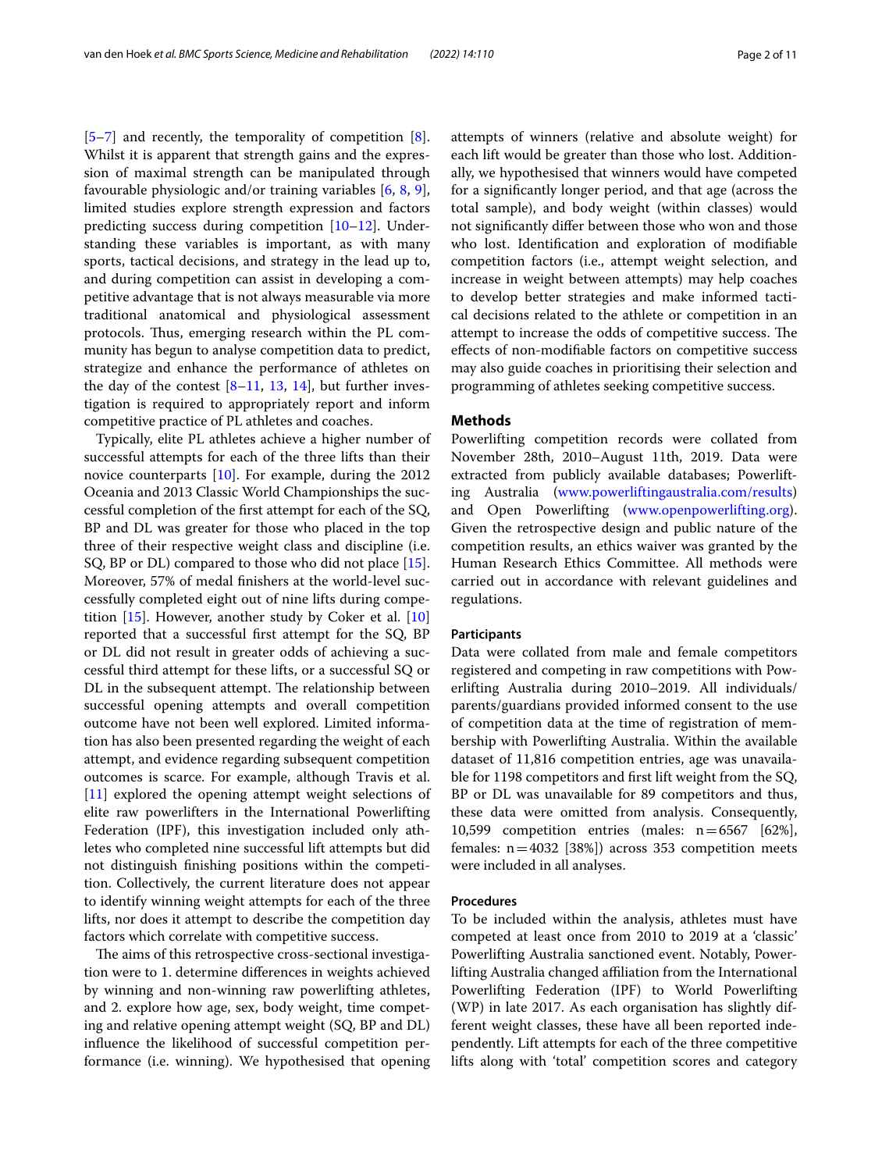$[5-7]$  $[5-7]$  and recently, the temporality of competition  $[8]$  $[8]$ . Whilst it is apparent that strength gains and the expression of maximal strength can be manipulated through favourable physiologic and/or training variables [[6,](#page-10-6) [8,](#page-10-5) [9](#page-10-7)], limited studies explore strength expression and factors predicting success during competition [[10–](#page-10-8)[12\]](#page-10-9). Understanding these variables is important, as with many sports, tactical decisions, and strategy in the lead up to, and during competition can assist in developing a competitive advantage that is not always measurable via more traditional anatomical and physiological assessment protocols. Thus, emerging research within the PL community has begun to analyse competition data to predict, strategize and enhance the performance of athletes on the day of the contest  $[8-11, 13, 14]$  $[8-11, 13, 14]$  $[8-11, 13, 14]$  $[8-11, 13, 14]$  $[8-11, 13, 14]$  $[8-11, 13, 14]$ , but further investigation is required to appropriately report and inform competitive practice of PL athletes and coaches.

Typically, elite PL athletes achieve a higher number of successful attempts for each of the three lifts than their novice counterparts [[10](#page-10-8)]. For example, during the 2012 Oceania and 2013 Classic World Championships the successful completion of the frst attempt for each of the SQ, BP and DL was greater for those who placed in the top three of their respective weight class and discipline (i.e. SQ, BP or DL) compared to those who did not place [\[15](#page-10-13)]. Moreover, 57% of medal fnishers at the world-level successfully completed eight out of nine lifts during competition [[15\]](#page-10-13). However, another study by Coker et al. [[10](#page-10-8)] reported that a successful frst attempt for the SQ, BP or DL did not result in greater odds of achieving a successful third attempt for these lifts, or a successful SQ or DL in the subsequent attempt. The relationship between successful opening attempts and overall competition outcome have not been well explored. Limited information has also been presented regarding the weight of each attempt, and evidence regarding subsequent competition outcomes is scarce. For example, although Travis et al. [[11\]](#page-10-10) explored the opening attempt weight selections of elite raw powerlifters in the International Powerlifting Federation (IPF), this investigation included only athletes who completed nine successful lift attempts but did not distinguish fnishing positions within the competition. Collectively, the current literature does not appear to identify winning weight attempts for each of the three lifts, nor does it attempt to describe the competition day factors which correlate with competitive success.

The aims of this retrospective cross-sectional investigation were to 1. determine diferences in weights achieved by winning and non-winning raw powerlifting athletes, and 2. explore how age, sex, body weight, time competing and relative opening attempt weight (SQ, BP and DL) infuence the likelihood of successful competition performance (i.e. winning). We hypothesised that opening attempts of winners (relative and absolute weight) for each lift would be greater than those who lost. Additionally, we hypothesised that winners would have competed for a signifcantly longer period, and that age (across the total sample), and body weight (within classes) would not signifcantly difer between those who won and those who lost. Identifcation and exploration of modifable competition factors (i.e., attempt weight selection, and increase in weight between attempts) may help coaches to develop better strategies and make informed tactical decisions related to the athlete or competition in an attempt to increase the odds of competitive success. The efects of non-modifable factors on competitive success may also guide coaches in prioritising their selection and programming of athletes seeking competitive success.

## **Methods**

Powerlifting competition records were collated from November 28th, 2010–August 11th, 2019. Data were extracted from publicly available databases; Powerlifting Australia ([www.powerliftingaustralia.com/results](http://www.powerliftingaustralia.com/results)) and Open Powerlifting ([www.openpowerlifting.org](http://www.openpowerlifting.org)). Given the retrospective design and public nature of the competition results, an ethics waiver was granted by the Human Research Ethics Committee. All methods were carried out in accordance with relevant guidelines and regulations.

#### **Participants**

Data were collated from male and female competitors registered and competing in raw competitions with Powerlifting Australia during 2010–2019. All individuals/ parents/guardians provided informed consent to the use of competition data at the time of registration of membership with Powerlifting Australia. Within the available dataset of 11,816 competition entries, age was unavailable for 1198 competitors and frst lift weight from the SQ, BP or DL was unavailable for 89 competitors and thus, these data were omitted from analysis. Consequently, 10,599 competition entries (males:  $n=6567$  [62%], females: n=4032 [38%]) across 353 competition meets were included in all analyses.

#### **Procedures**

To be included within the analysis, athletes must have competed at least once from 2010 to 2019 at a 'classic' Powerlifting Australia sanctioned event. Notably, Powerlifting Australia changed afliation from the International Powerlifting Federation (IPF) to World Powerlifting (WP) in late 2017. As each organisation has slightly different weight classes, these have all been reported independently. Lift attempts for each of the three competitive lifts along with 'total' competition scores and category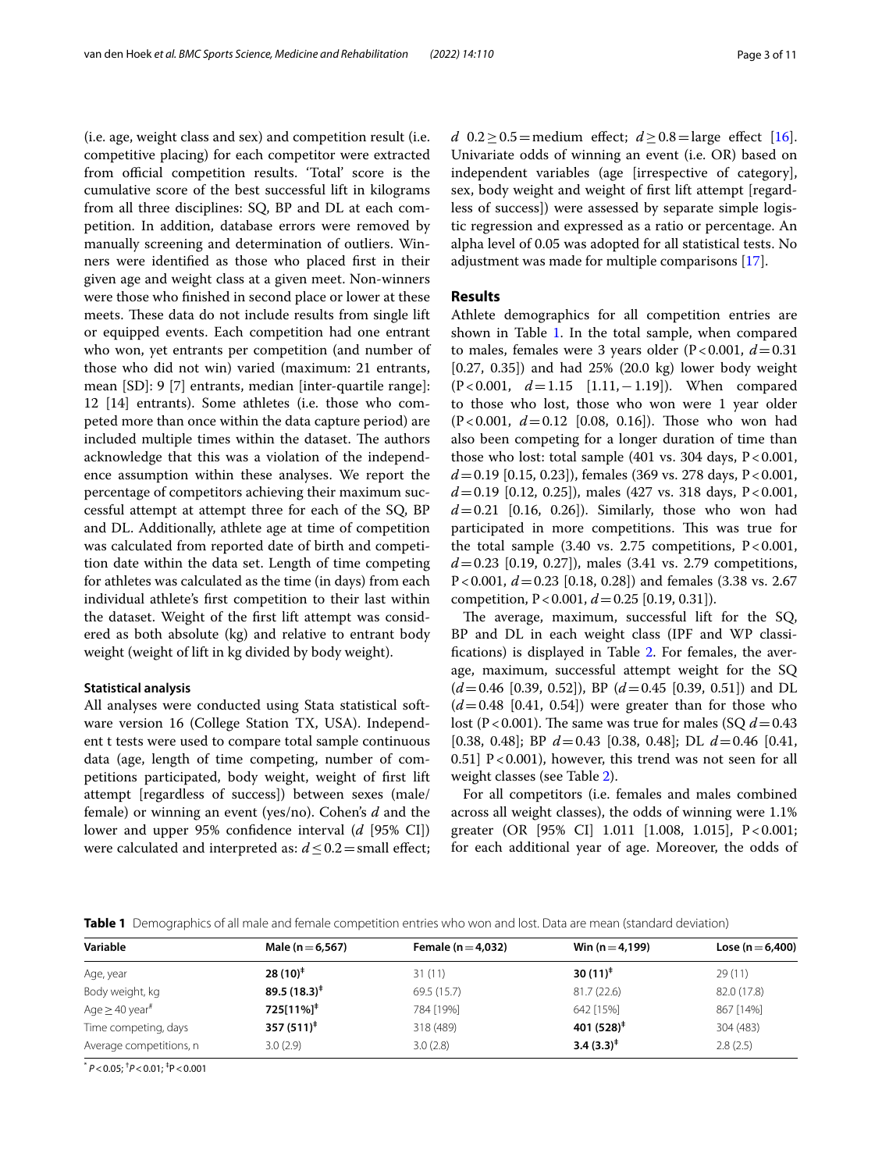(i.e. age, weight class and sex) and competition result (i.e. competitive placing) for each competitor were extracted from official competition results. 'Total' score is the cumulative score of the best successful lift in kilograms from all three disciplines: SQ, BP and DL at each competition. In addition, database errors were removed by manually screening and determination of outliers. Winners were identifed as those who placed frst in their given age and weight class at a given meet. Non-winners were those who fnished in second place or lower at these meets. These data do not include results from single lift or equipped events. Each competition had one entrant who won, yet entrants per competition (and number of those who did not win) varied (maximum: 21 entrants, mean [SD]: 9 [7] entrants, median [inter-quartile range]: 12 [14] entrants). Some athletes (i.e. those who competed more than once within the data capture period) are included multiple times within the dataset. The authors acknowledge that this was a violation of the independence assumption within these analyses. We report the percentage of competitors achieving their maximum successful attempt at attempt three for each of the SQ, BP and DL. Additionally, athlete age at time of competition was calculated from reported date of birth and competition date within the data set. Length of time competing for athletes was calculated as the time (in days) from each individual athlete's frst competition to their last within the dataset. Weight of the frst lift attempt was considered as both absolute (kg) and relative to entrant body weight (weight of lift in kg divided by body weight).

#### **Statistical analysis**

All analyses were conducted using Stata statistical software version 16 (College Station TX, USA). Independent t tests were used to compare total sample continuous data (age, length of time competing, number of competitions participated, body weight, weight of frst lift attempt [regardless of success]) between sexes (male/ female) or winning an event (yes/no). Cohen's *d* and the lower and upper 95% confdence interval (*d* [95% CI]) were calculated and interpreted as: *d* ≤ 0.2 = small effect; *d* 0.2≥0.5=medium effect; *d* ≥ 0.8=large effect [\[16](#page-10-14)]. Univariate odds of winning an event (i.e. OR) based on independent variables (age [irrespective of category], sex, body weight and weight of frst lift attempt [regardless of success]) were assessed by separate simple logistic regression and expressed as a ratio or percentage. An alpha level of 0.05 was adopted for all statistical tests. No adjustment was made for multiple comparisons [[17\]](#page-10-15).

#### **Results**

Athlete demographics for all competition entries are shown in Table [1](#page-2-0). In the total sample, when compared to males, females were 3 years older  $(P<0.001, d=0.31)$ [0.27, 0.35]) and had 25% (20.0 kg) lower body weight (P<0.001, *d*=1.15 [1.11,−1.19]). When compared to those who lost, those who won were 1 year older  $(P<0.001, d=0.12$  [0.08, 0.16]). Those who won had also been competing for a longer duration of time than those who lost: total sample  $(401 \text{ vs. } 304 \text{ days}, \text{P} < 0.001,$ *d*=0.19 [0.15, 0.23]), females (369 vs. 278 days, P<0.001, *d*=0.19 [0.12, 0.25]), males (427 vs. 318 days, P<0.001,  $d=0.21$  [0.16, 0.26]). Similarly, those who won had participated in more competitions. This was true for the total sample  $(3.40 \text{ vs. } 2.75 \text{ competitions, } P < 0.001,$ *d*=0.23 [0.19, 0.27]), males (3.41 vs. 2.79 competitions, P<0.001, *d*=0.23 [0.18, 0.28]) and females (3.38 vs. 2.67 competition, P<0.001, *d*=0.25 [0.19, 0.31]).

The average, maximum, successful lift for the  $SQ$ , BP and DL in each weight class (IPF and WP classifcations) is displayed in Table [2.](#page-3-0) For females, the average, maximum, successful attempt weight for the SQ (*d*=0.46 [0.39, 0.52]), BP (*d*=0.45 [0.39, 0.51]) and DL  $(d=0.48$  [0.41, 0.54]) were greater than for those who lost (P<0.001). The same was true for males (SQ  $d=0.43$ ) [0.38, 0.48]; BP *d*=0.43 [0.38, 0.48]; DL *d*=0.46 [0.41, 0.51]  $P < 0.001$ ), however, this trend was not seen for all weight classes (see Table [2](#page-3-0)).

For all competitors (i.e. females and males combined across all weight classes), the odds of winning were 1.1% greater (OR [95% CI] 1.011 [1.008, 1.015], P<0.001; for each additional year of age. Moreover, the odds of

<span id="page-2-0"></span>**Table 1** Demographics of all male and female competition entries who won and lost. Data are mean (standard deviation)

| Variable                        | Male ( $n = 6,567$ )  | Female ( $n = 4.032$ ) | Win $(n=4,199)$        | Lose ( $n = 6,400$ ) |
|---------------------------------|-----------------------|------------------------|------------------------|----------------------|
| Age, year                       | $28(10)^+$            | 31(11)                 | 30 $(11)^*$            | 29(11)               |
| Body weight, kg                 | $89.5(18.3)^*$        | 69.5 (15.7)            | 81.7(22.6)             | 82.0 (17.8)          |
| Age $\geq$ 40 year <sup>#</sup> | 725[11%] <sup>‡</sup> | 784 [19%]              | 642 [15%]              | 867 [14%]            |
| Time competing, days            | $357(511)^{\ddagger}$ | 318 (489)              | 401 $(528)^{\ddagger}$ | 304 (483)            |
| Average competitions, n         | 3.0(2.9)              | 3.0(2.8)               | $3.4(3.3)^+$           | 2.8(2.5)             |

\* *P*<0.05; † *P*<0.01; ‡ P<0.001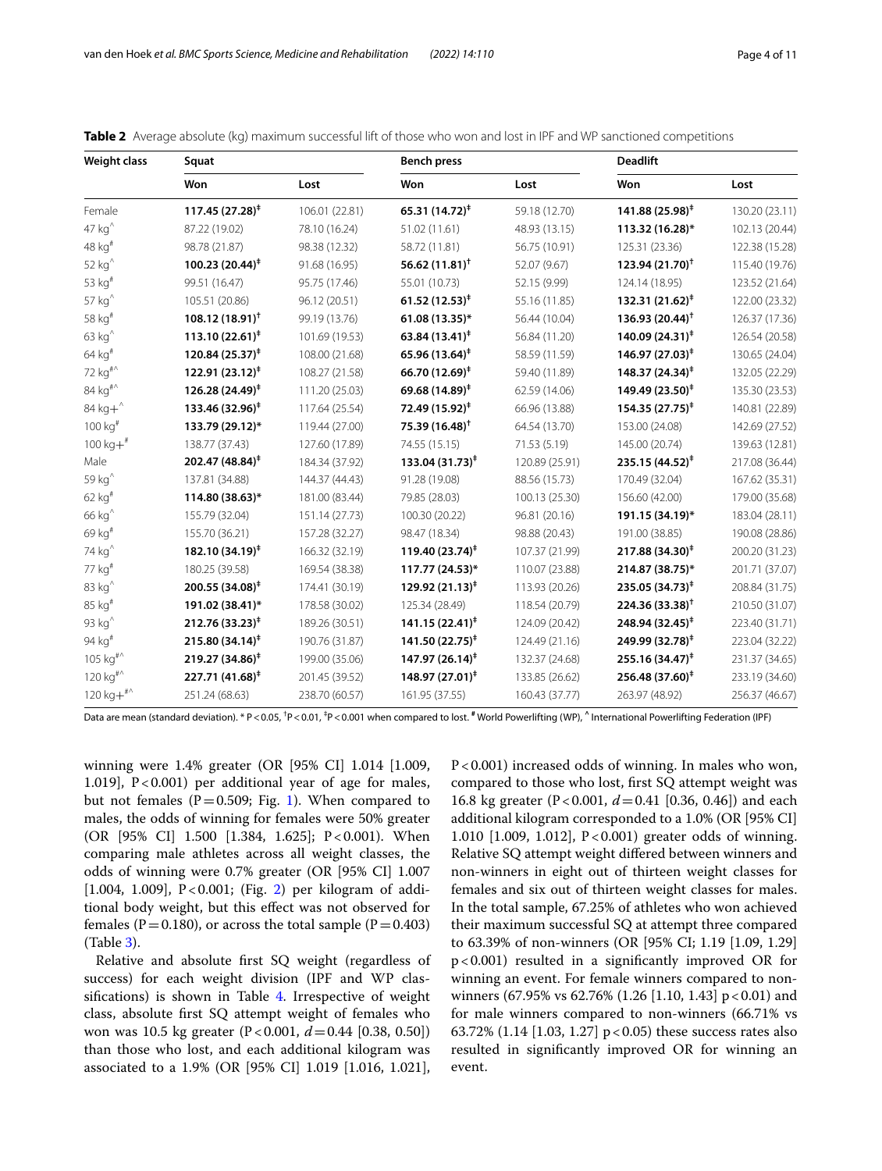| <b>Weight class</b>                         | Squat                       |                | <b>Bench press</b>           |                | <b>Deadlift</b>             |                |
|---------------------------------------------|-----------------------------|----------------|------------------------------|----------------|-----------------------------|----------------|
|                                             | Won                         | Lost           | Won                          | Lost           | Won                         | Lost           |
| Female                                      | $117.45(27.28)^{\ddagger}$  | 106.01 (22.81) | 65.31 $(14.72)^{\ddagger}$   | 59.18 (12.70)  | $141.88(25.98)^{\ddagger}$  | 130.20 (23.11) |
| $47 kg^$                                    | 87.22 (19.02)               | 78.10 (16.24)  | 51.02 (11.61)                | 48.93 (13.15)  | 113.32 (16.28)*             | 102.13 (20.44) |
| 48 kg <sup>#</sup>                          | 98.78 (21.87)               | 98.38 (12.32)  | 58.72 (11.81)                | 56.75 (10.91)  | 125.31 (23.36)              | 122.38 (15.28) |
| $52 kg^$                                    | 100.23 (20.44) <sup>‡</sup> | 91.68 (16.95)  | 56.62 $(11.81)$ <sup>†</sup> | 52.07 (9.67)   | $123.94(21.70)^{\dagger}$   | 115.40 (19.76) |
| 53 kg <sup>#</sup>                          | 99.51 (16.47)               | 95.75 (17.46)  | 55.01 (10.73)                | 52.15 (9.99)   | 124.14 (18.95)              | 123.52 (21.64) |
| 57 kg <sup>^</sup>                          | 105.51 (20.86)              | 96.12 (20.51)  | $61.52(12.53)^{\ddagger}$    | 55.16 (11.85)  | $132.31(21.62)^{\ddagger}$  | 122.00 (23.32) |
| 58 kg <sup>#</sup>                          | $108.12(18.91)^+$           | 99.19 (13.76)  | 61.08 (13.35)*               | 56.44 (10.04)  | $136.93(20.44)^{\dagger}$   | 126.37 (17.36) |
| $63 kg^$                                    | $113.10(22.61)^*$           | 101.69 (19.53) | 63.84 $(13.41)^{\ddagger}$   | 56.84 (11.20)  | $140.09(24.31)^{\ddagger}$  | 126.54 (20.58) |
| 64 kg <sup>#</sup>                          | 120.84 (25.37) <sup>#</sup> | 108.00 (21.68) | 65.96 (13.64) <sup>‡</sup>   | 58.59 (11.59)  | $146.97(27.03)^{\ddagger}$  | 130.65 (24.04) |
| 72 kg <sup>#^</sup>                         | 122.91 (23.12) <sup>‡</sup> | 108.27 (21.58) | 66.70 (12.69) <sup>‡</sup>   | 59.40 (11.89)  | 148.37 (24.34) <sup>‡</sup> | 132.05 (22.29) |
| 84 kg <sup>#^</sup>                         | 126.28 (24.49) <sup>#</sup> | 111.20 (25.03) | 69.68 (14.89) <sup>‡</sup>   | 62.59 (14.06)  | 149.49 (23.50) <sup>‡</sup> | 135.30 (23.53) |
| 84 $kg+$                                    | 133.46 (32.96) <sup>‡</sup> | 117.64 (25.54) | 72.49 (15.92) <sup>‡</sup>   | 66.96 (13.88)  | $154.35(27.75)^{\ddagger}$  | 140.81 (22.89) |
| 100 kg <sup>#</sup>                         | 133.79 (29.12)*             | 119.44 (27.00) | $75.39(16.48)^{\dagger}$     | 64.54 (13.70)  | 153.00 (24.08)              | 142.69 (27.52) |
| $100 kg+$ #                                 | 138.77 (37.43)              | 127.60 (17.89) | 74.55 (15.15)                | 71.53 (5.19)   | 145.00 (20.74)              | 139.63 (12.81) |
| Male                                        | 202.47 (48.84) <sup>‡</sup> | 184.34 (37.92) | $133.04(31.73)^{\ddagger}$   | 120.89 (25.91) | $235.15(44.52)^{\ddagger}$  | 217.08 (36.44) |
| 59 kg <sup>^</sup>                          | 137.81 (34.88)              | 144.37 (44.43) | 91.28 (19.08)                | 88.56 (15.73)  | 170.49 (32.04)              | 167.62 (35.31) |
| 62 kg <sup>#</sup>                          | 114.80 (38.63)*             | 181.00 (83.44) | 79.85 (28.03)                | 100.13 (25.30) | 156.60 (42.00)              | 179.00 (35.68) |
| 66 kg <sup>^</sup>                          | 155.79 (32.04)              | 151.14 (27.73) | 100.30 (20.22)               | 96.81 (20.16)  | 191.15 (34.19)*             | 183.04 (28.11) |
| 69 kg <sup>#</sup>                          | 155.70 (36.21)              | 157.28 (32.27) | 98.47 (18.34)                | 98.88 (20.43)  | 191.00 (38.85)              | 190.08 (28.86) |
| 74 kg <sup>^</sup>                          | 182.10 (34.19) <sup>#</sup> | 166.32 (32.19) | 119.40 $(23.74)^{\ddagger}$  | 107.37 (21.99) | $217.88(34.30)^{\ddagger}$  | 200.20 (31.23) |
| 77 kg <sup>#</sup>                          | 180.25 (39.58)              | 169.54 (38.38) | 117.77 (24.53)*              | 110.07 (23.88) | 214.87 (38.75)*             | 201.71 (37.07) |
| 83 kg $^{\wedge}$                           | 200.55 (34.08) <sup>‡</sup> | 174.41 (30.19) | $129.92(21.13)^{\ddagger}$   | 113.93 (20.26) | 235.05 (34.73) <sup>‡</sup> | 208.84 (31.75) |
| 85 kg <sup>#</sup>                          | 191.02 (38.41)*             | 178.58 (30.02) | 125.34 (28.49)               | 118.54 (20.79) | $224.36(33.38)^{\dagger}$   | 210.50 (31.07) |
| 93 kg <sup>^</sup>                          | $212.76(33.23)^{\ddagger}$  | 189.26 (30.51) | $141.15(22.41)^{\ddagger}$   | 124.09 (20.42) | $248.94(32.45)^{\ddagger}$  | 223.40 (31.71) |
| 94 kg <sup>#</sup>                          | $215.80(34.14)^{\ddagger}$  | 190.76 (31.87) | $141.50(22.75)^{\ddagger}$   | 124.49 (21.16) | 249.99 (32.78) <sup>‡</sup> | 223.04 (32.22) |
| 105 kg <sup>#^</sup>                        | 219.27 (34.86) <sup>‡</sup> | 199.00 (35.06) | 147.97 (26.14) <sup>‡</sup>  | 132.37 (24.68) | 255.16 (34.47) <sup>‡</sup> | 231.37 (34.65) |
| $120\ \mathrm{kg}^{\mathrm{\#}}{}^{\wedge}$ | 227.71 (41.68) <sup>‡</sup> | 201.45 (39.52) | 148.97 (27.01) <sup>‡</sup>  | 133.85 (26.62) | 256.48 (37.60) <sup>‡</sup> | 233.19 (34.60) |
| $120 kg+^{\#0}$                             | 251.24 (68.63)              | 238.70 (60.57) | 161.95 (37.55)               | 160.43 (37.77) | 263.97 (48.92)              | 256.37 (46.67) |

<span id="page-3-0"></span>**Table 2** Average absolute (kg) maximum successful lift of those who won and lost in IPF and WP sanctioned competitions

Data are mean (standard deviation). \* P<0.05, <sup>†</sup>P<0.01, <sup>‡</sup>P<0.001 when compared to lost. <sup>#</sup> World Powerlifting (WP), ^ International Powerlifting Federation (IPF)

winning were 1.4% greater (OR [95% CI] 1.014 [1.009, 1.019],  $P < 0.001$ ) per additional year of age for males, but not females ( $P=0.509$ ; Fig. [1](#page-4-0)). When compared to males, the odds of winning for females were 50% greater (OR [95% CI] 1.500 [1.384, 1.625]; P<0.001). When comparing male athletes across all weight classes, the odds of winning were 0.7% greater (OR [95% CI] 1.007 [1.004, 1.009], P<0.001; (Fig. [2\)](#page-4-1) per kilogram of additional body weight, but this efect was not observed for females (P=0.180), or across the total sample (P=0.403) (Table [3](#page-5-0)).

Relative and absolute frst SQ weight (regardless of success) for each weight division (IPF and WP clas-sifications) is shown in Table [4](#page-6-0). Irrespective of weight class, absolute frst SQ attempt weight of females who won was 10.5 kg greater (P<0.001, *d*=0.44 [0.38, 0.50]) than those who lost, and each additional kilogram was associated to a 1.9% (OR [95% CI] 1.019 [1.016, 1.021], P<0.001) increased odds of winning. In males who won, compared to those who lost, frst SQ attempt weight was 16.8 kg greater (P<0.001, *d*=0.41 [0.36, 0.46]) and each additional kilogram corresponded to a 1.0% (OR [95% CI] 1.010 [1.009, 1.012], P<0.001) greater odds of winning. Relative SQ attempt weight difered between winners and non-winners in eight out of thirteen weight classes for females and six out of thirteen weight classes for males. In the total sample, 67.25% of athletes who won achieved their maximum successful SQ at attempt three compared to 63.39% of non-winners (OR [95% CI; 1.19 [1.09, 1.29] p<0.001) resulted in a signifcantly improved OR for winning an event. For female winners compared to nonwinners (67.95% vs 62.76% (1.26 [1.10, 1.43]  $p < 0.01$ ) and for male winners compared to non-winners (66.71% vs 63.72% (1.14 [1.03, 1.27]  $p < 0.05$ ) these success rates also resulted in signifcantly improved OR for winning an event.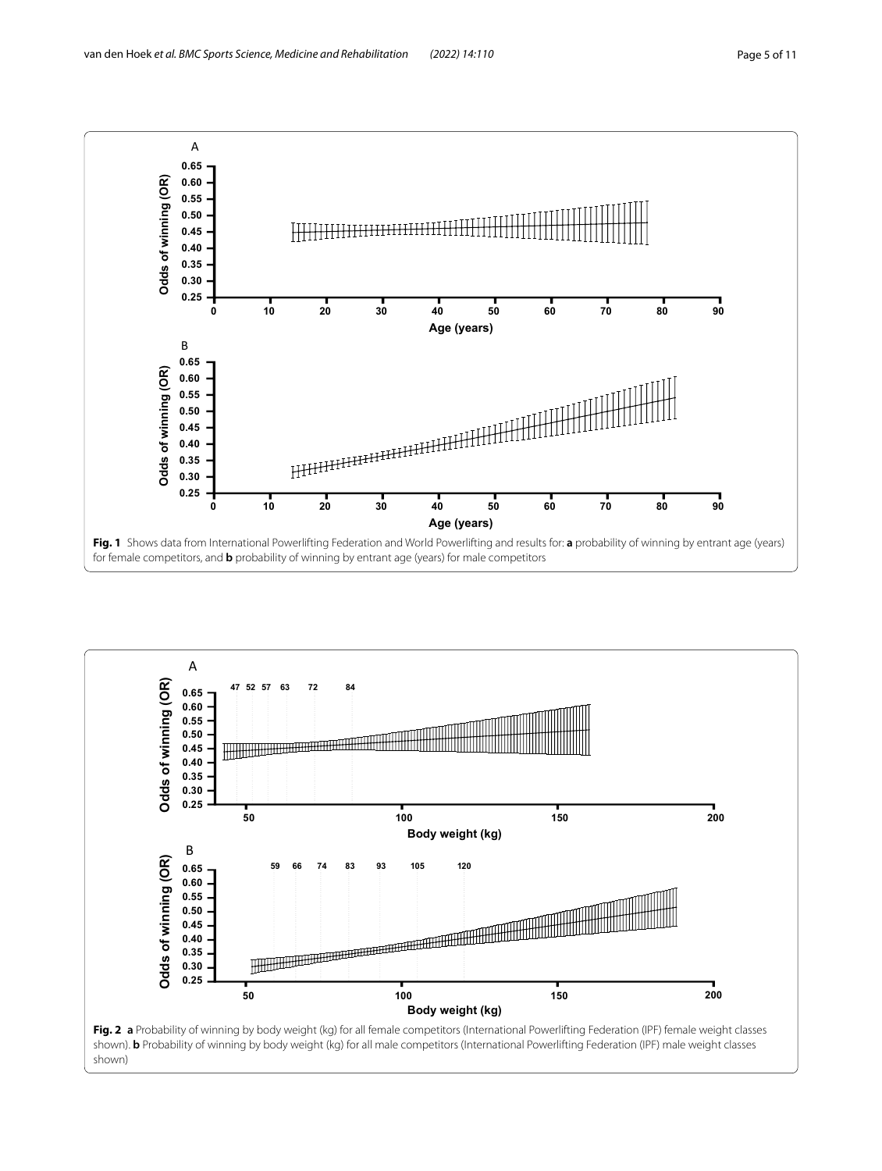

<span id="page-4-1"></span><span id="page-4-0"></span>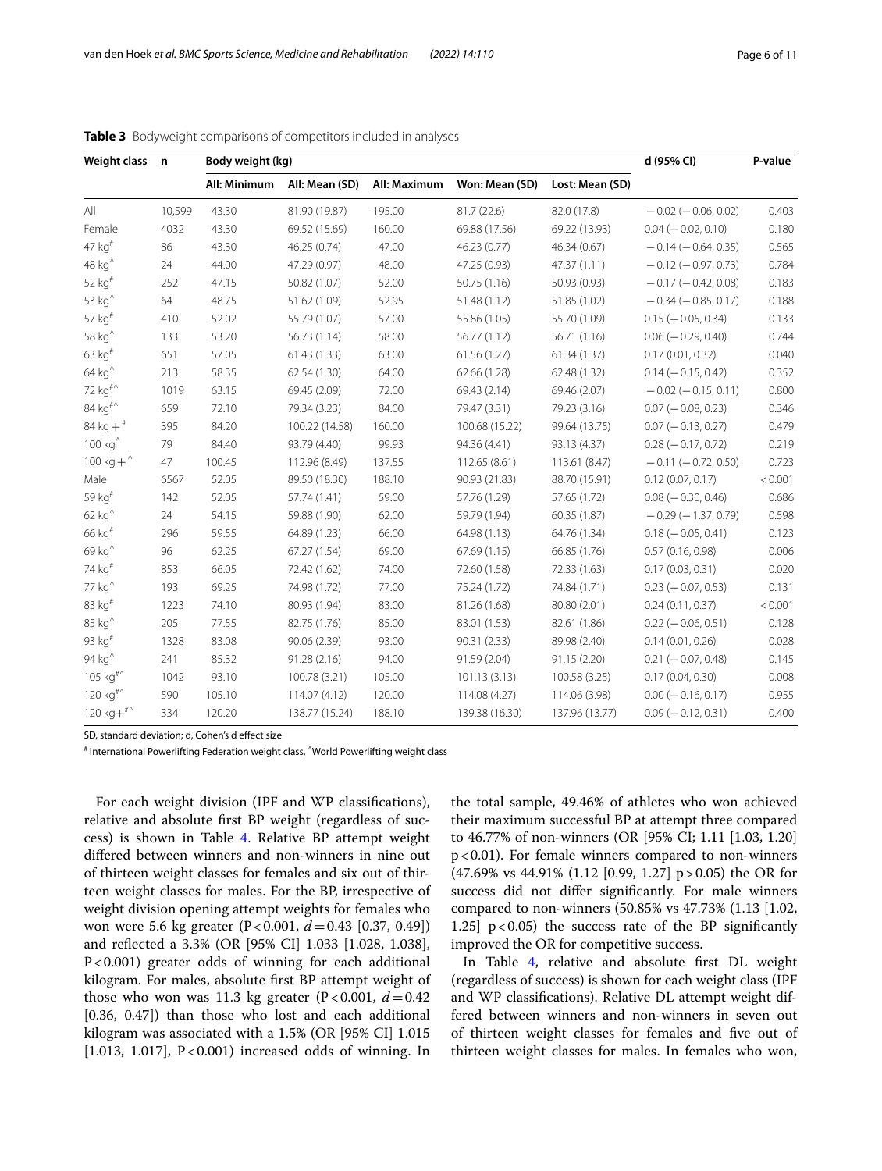| Weight class n       |        | Body weight (kg) |                |              |                |                 | d (95% CI)                | P-value |
|----------------------|--------|------------------|----------------|--------------|----------------|-----------------|---------------------------|---------|
|                      |        | All: Minimum     | All: Mean (SD) | All: Maximum | Won: Mean (SD) | Lost: Mean (SD) |                           |         |
| All                  | 10,599 | 43.30            | 81.90 (19.87)  | 195.00       | 81.7(22.6)     | 82.0 (17.8)     | $-0.02$ ( $-0.06$ , 0.02) | 0.403   |
| Female               | 4032   | 43.30            | 69.52 (15.69)  | 160.00       | 69.88 (17.56)  | 69.22 (13.93)   | $0.04 (-0.02, 0.10)$      | 0.180   |
| $47$ kg <sup>#</sup> | 86     | 43.30            | 46.25 (0.74)   | 47.00        | 46.23 (0.77)   | 46.34 (0.67)    | $-0.14 (-0.64, 0.35)$     | 0.565   |
| 48 kg <sup>^</sup>   | 24     | 44.00            | 47.29 (0.97)   | 48.00        | 47.25 (0.93)   | 47.37 (1.11)    | $-0.12$ ( $-0.97, 0.73$ ) | 0.784   |
| 52 $kg#$             | 252    | 47.15            | 50.82 (1.07)   | 52.00        | 50.75 (1.16)   | 50.93 (0.93)    | $-0.17$ ( $-0.42$ , 0.08) | 0.183   |
| 53 $kg^{\wedge}$     | 64     | 48.75            | 51.62 (1.09)   | 52.95        | 51.48 (1.12)   | 51.85 (1.02)    | $-0.34 (-0.85, 0.17)$     | 0.188   |
| 57 kg <sup>#</sup>   | 410    | 52.02            | 55.79 (1.07)   | 57.00        | 55.86 (1.05)   | 55.70 (1.09)    | $0.15 (-0.05, 0.34)$      | 0.133   |
| 58 $kg^{\wedge}$     | 133    | 53.20            | 56.73 (1.14)   | 58.00        | 56.77 (1.12)   | 56.71 (1.16)    | $0.06 (-0.29, 0.40)$      | 0.744   |
| $63$ kg <sup>#</sup> | 651    | 57.05            | 61.43(1.33)    | 63.00        | 61.56 (1.27)   | 61.34(1.37)     | 0.17(0.01, 0.32)          | 0.040   |
| 64 $kg^{\wedge}$     | 213    | 58.35            | 62.54 (1.30)   | 64.00        | 62.66 (1.28)   | 62.48 (1.32)    | $0.14 (-0.15, 0.42)$      | 0.352   |
| 72 kg <sup>#^</sup>  | 1019   | 63.15            | 69.45 (2.09)   | 72.00        | 69.43 (2.14)   | 69.46 (2.07)    | $-0.02$ ( $-0.15, 0.11$ ) | 0.800   |
| 84 kg <sup>#^</sup>  | 659    | 72.10            | 79.34 (3.23)   | 84.00        | 79.47 (3.31)   | 79.23 (3.16)    | $0.07 (-0.08, 0.23)$      | 0.346   |
| 84 kg + $*$          | 395    | 84.20            | 100.22 (14.58) | 160.00       | 100.68 (15.22) | 99.64 (13.75)   | $0.07 (-0.13, 0.27)$      | 0.479   |
| $100 kg^$            | 79     | 84.40            | 93.79 (4.40)   | 99.93        | 94.36 (4.41)   | 93.13 (4.37)    | $0.28 (-0.17, 0.72)$      | 0.219   |
| 100 kg + $\degree$   | 47     | 100.45           | 112.96 (8.49)  | 137.55       | 112.65 (8.61)  | 113.61 (8.47)   | $-0.11 (-0.72, 0.50)$     | 0.723   |
| Male                 | 6567   | 52.05            | 89.50 (18.30)  | 188.10       | 90.93 (21.83)  | 88.70 (15.91)   | 0.12(0.07, 0.17)          | < 0.001 |
| 59 kg <sup>#</sup>   | 142    | 52.05            | 57.74 (1.41)   | 59.00        | 57.76 (1.29)   | 57.65 (1.72)    | $0.08 (-0.30, 0.46)$      | 0.686   |
| $62 kg^$             | 24     | 54.15            | 59.88 (1.90)   | 62.00        | 59.79 (1.94)   | 60.35 (1.87)    | $-0.29$ ( $-1.37$ , 0.79) | 0.598   |
| 66 kg <sup>#</sup>   | 296    | 59.55            | 64.89 (1.23)   | 66.00        | 64.98 (1.13)   | 64.76 (1.34)    | $0.18 (-0.05, 0.41)$      | 0.123   |
| 69 kg <sup>^</sup>   | 96     | 62.25            | 67.27 (1.54)   | 69.00        | 67.69(1.15)    | 66.85 (1.76)    | 0.57(0.16, 0.98)          | 0.006   |
| 74 kg <sup>#</sup>   | 853    | 66.05            | 72.42 (1.62)   | 74.00        | 72.60 (1.58)   | 72.33 (1.63)    | 0.17(0.03, 0.31)          | 0.020   |
| 77 kg <sup>^</sup>   | 193    | 69.25            | 74.98 (1.72)   | 77.00        | 75.24 (1.72)   | 74.84 (1.71)    | $0.23 (-0.07, 0.53)$      | 0.131   |
| 83 kg <sup>#</sup>   | 1223   | 74.10            | 80.93 (1.94)   | 83.00        | 81.26 (1.68)   | 80.80 (2.01)    | 0.24(0.11, 0.37)          | < 0.001 |
| 85 kg <sup>^</sup>   | 205    | 77.55            | 82.75 (1.76)   | 85.00        | 83.01 (1.53)   | 82.61 (1.86)    | $0.22 (-0.06, 0.51)$      | 0.128   |
| 93 $kg#$             | 1328   | 83.08            | 90.06 (2.39)   | 93.00        | 90.31 (2.33)   | 89.98 (2.40)    | 0.14(0.01, 0.26)          | 0.028   |
| 94 $kg^{\wedge}$     | 241    | 85.32            | 91.28(2.16)    | 94.00        | 91.59 (2.04)   | 91.15 (2.20)    | $0.21 (-0.07, 0.48)$      | 0.145   |
| $105 kg#^{\wedge}$   | 1042   | 93.10            | 100.78 (3.21)  | 105.00       | 101.13(3.13)   | 100.58 (3.25)   | 0.17(0.04, 0.30)          | 0.008   |
| $120 kg#^{\wedge}$   | 590    | 105.10           | 114.07 (4.12)  | 120.00       | 114.08 (4.27)  | 114.06 (3.98)   | $0.00 (-0.16, 0.17)$      | 0.955   |
| $120 kg+^{\#0}$      | 334    | 120.20           | 138.77 (15.24) | 188.10       | 139.38 (16.30) | 137.96 (13.77)  | $0.09 (-0.12, 0.31)$      | 0.400   |

<span id="page-5-0"></span>**Table 3** Bodyweight comparisons of competitors included in analyses

SD, standard deviation; d, Cohen's d efect size

# International Powerlifting Federation weight class, ^World Powerlifting weight class

For each weight division (IPF and WP classifcations), relative and absolute frst BP weight (regardless of success) is shown in Table [4](#page-6-0). Relative BP attempt weight difered between winners and non-winners in nine out of thirteen weight classes for females and six out of thirteen weight classes for males. For the BP, irrespective of weight division opening attempt weights for females who won were 5.6 kg greater (P<0.001,  $d = 0.43$  [0.37, 0.49]) and refected a 3.3% (OR [95% CI] 1.033 [1.028, 1.038], P<0.001) greater odds of winning for each additional kilogram. For males, absolute frst BP attempt weight of those who won was 11.3 kg greater  $(P<0.001, d=0.42)$ [0.36, 0.47]) than those who lost and each additional kilogram was associated with a 1.5% (OR [95% CI] 1.015 [1.013, 1.017],  $P < 0.001$ ) increased odds of winning. In the total sample, 49.46% of athletes who won achieved their maximum successful BP at attempt three compared to 46.77% of non-winners (OR [95% CI; 1.11 [1.03, 1.20] p<0.01). For female winners compared to non-winners (47.69% vs 44.91% (1.12 [0.99, 1.27] p>0.05) the OR for success did not difer signifcantly. For male winners compared to non-winners (50.85% vs 47.73% (1.13 [1.02, 1.25]  $p < 0.05$ ) the success rate of the BP significantly improved the OR for competitive success.

In Table [4,](#page-6-0) relative and absolute frst DL weight (regardless of success) is shown for each weight class (IPF and WP classifcations). Relative DL attempt weight differed between winners and non-winners in seven out of thirteen weight classes for females and fve out of thirteen weight classes for males. In females who won,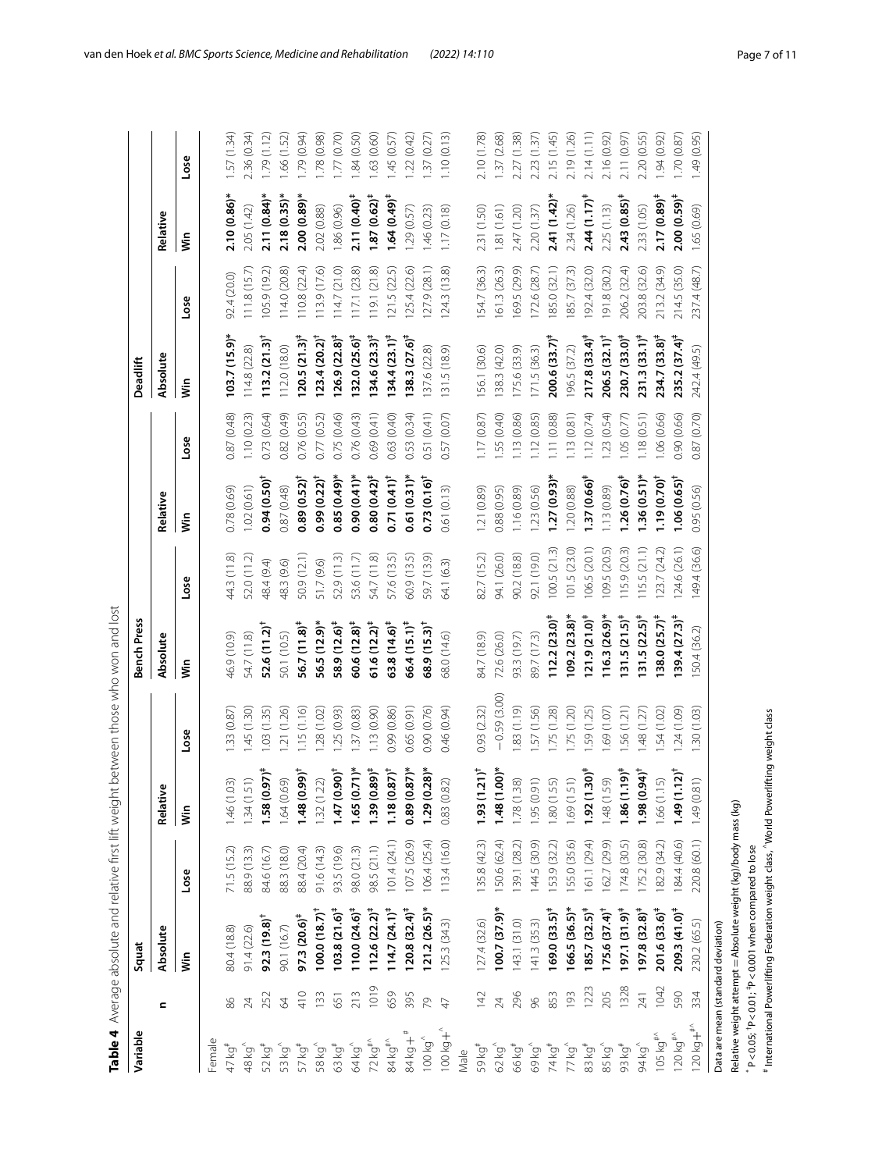| Variable                        |             | Squat                              |              |                                            |               | <b>Bench Press</b>       |              |                        |                         | Deadlift                 |                  |                           |             |
|---------------------------------|-------------|------------------------------------|--------------|--------------------------------------------|---------------|--------------------------|--------------|------------------------|-------------------------|--------------------------|------------------|---------------------------|-------------|
|                                 | c           | Absolute                           |              | Relative                                   |               | Absolute                 |              | Relative               |                         | Absolute                 |                  | Relative                  |             |
|                                 |             | Š                                  | Lose         | İn                                         | Lose          | Ś                        | Lose         | ξ                      | Lose                    | İ                        | Lose             | Š                         | Lose        |
| Female                          |             |                                    |              |                                            |               |                          |              |                        |                         |                          |                  |                           |             |
| 47 kg <sup>#</sup>              | 86          | 80.4 (18.8)                        | 71.5(15.2)   | 1.46 (1.03)                                | .33 (0.87     | 46.9 (10.9)              | 44.3 (11.8)  | 0.78 (0.69)            | 0.87 (0.48)             | $103.7(15.9)$ *          | 92.4 (20.0)      | $2.10(0.86)$ *            | 1.57(1.34)  |
| 48 kg <sup>^</sup>              | 24          | 91.4(22.6)                         | 88.9 (13.3)  | .34(1.51)                                  | 1.45(1.30)    | 54.7 (11.8)              | 52.0 (11.2)  | 1.02(0.61)             | 1.10(0.23)              | 14.8 (22.8)              | 111.8(15.7)      | 2.05 (1.42)               | 2.36 (0.34) |
| 52 kg <sup>#</sup>              | 252         | $92.3(19.8)^{\dagger}$             | 84.6 (16.7)  | $1.58(0.97)^4$                             | .03(1.35)     | $52.6(11.2)^+$           | 48.4 (9.4)   | $0.94(0.50)^{\dagger}$ | 0.73(0.64)              | $113.2(21.3)^+$          | 105.9(19.2)      | $2.11(0.84)$ *            | 1.79(1.12)  |
| 53 kg <sup>^</sup>              | 64          | 90.1 (16.7)                        | 88.3 (18.0)  |                                            | 1.21(1.26)    | 50.1 (10.5)              | 48.3 (9.6)   | 0.87 (0.48)            | 0.82 (0.49)             | 112.0 (18.0)             | õõ<br>14.0 (20.  | $2.18(0.35)$ *            | 1.66 (1.52) |
| 57 kg <sup>#</sup>              | $rac{1}{4}$ | $97.3(20.6)^*$                     | 88.4 (20.4)  | $1.64(0.69)$<br>1.48 $(0.99)^{\dagger}$    | .15(1.16)     | $56.7(11.8)^*$           | 50.9 (12.1)  | $0.89(0.52)^{\dagger}$ | 0.76 (0.55)             | $120.5(21.3)^{\ddagger}$ | 10.8(22.4)       | 2.00(0.89)                | 1.79(0.94)  |
| 58 kg <sup>^</sup>              | 133         | $100.0(18.7)^+$                    | 91.6(14.3)   | 1.32(1.22)                                 | .28(1.02)     | 56.5 (12.9)*             | 51.7 (9.6)   | $0.99(0.22)^{1}$       | 0.77 (0.52)             | $123.4(20.2)^+$          | 13.9(17.6)       | 2.02 (0.88)               | 1.78 (0.98) |
| 63 kg <sup>#</sup>              | 651         | $103.8(21.6)^{\ddagger}$           | 93.5 (19.6)  | $1.47(0.90)^{\dagger}$                     | 1.25(0.93)    | 58.9 (12.6) <sup>#</sup> | 52.9 (11.3)  | 0.85(0.49)             | 0.75 (0.46)             | $126.9(22.8)^{\ddagger}$ | 14.7(21.0)       | 1.86 (0.96)               | 1.77(0.70)  |
| 64 kg^                          | 213         | $110.0(24.6)^*$                    | 98.0 (21.3)  | $1.65(0.71)^*$<br>1.39 $(0.89)^{\ddagger}$ | 1.37(0.83)    | $60.6(12.8)^{\ddagger}$  | 53.6 (11.7)  | 0.90(0.41)             | 0.76 (0.43)             | $132.0(25.6)^{\ddagger}$ | 17.1 (23.8)      | $2.11(0.40)^{4}$          | .84(0.50)   |
| 72 $kg^{\text{\#}}$             | 1019        | $112.6(22.2)^{+}$                  | 98.5 (21.1)  |                                            | .13(0.90)     | $61.6(12.2)^{+}$         | 54.7 (11.8)  | $0.80(0.42)^4$         | 0.69 (0.41)             | $134.6(23.3)^{\ddagger}$ | 19.1(21.8)       | $1.87(0.62)^*$            | .63(0.60)   |
| 84 kg#^                         | 659         | $114.7(24.1)^*$                    | 101.4(24.1)  | $1.18(0.87)^{\dagger}$                     | 0.99 (0.86)   | $63.8(14.6)^*$           | 57.6 (13.5)  | $0.71(0.41)^{t}$       | 0.63 (0.40)             | $134.4(23.1)^{4}$        | 21.5 (22.5)      | $1.64(0.49)^+$            | .45 (0.57)  |
| 84 kg + <sup>#</sup>            | 395         | $120.8(32.4)^{\ddagger}$           | 107.5 (26.9) | $0.89(0.87)$ *                             | 0.65 (0.91)   | $66.4(15.1)^{4}$         | 50.9 (13.5)  | $0.61(0.31)$ *         | 0.53 (0.34)             | $138.3(27.6)^{\ddagger}$ | 125.4(22.6)      | .29(0.57)                 | 1.22(0.42)  |
| $100\ \mathrm{kg}^{\wedge}$     | 79          | $121.2(26.5)$ *                    | 06.4 (25.4)  | $-29(0.28)$                                | 0.90 (0.76)   | $68.9(15.3)^{\dagger}$   | 59.7 (13.9)  | $0.73(0.16)^{\dagger}$ | 0.51 (0.41)             | 137.6 (22.8)             | (27.9 (28.1)     | 1.46 (0.23)               | 1.37(0.27)  |
| $+500k +$                       | 47          | 125.3(34.3)                        | 113.4 (16.0) | 0.83 (0.82)                                | 0.46 (0.94)   | 68.0 (14.6)              | 54.1 (6.3)   | 0.61 (0.13)            | (0.07)<br>0.57          | 131.5 (18.9)             | 124.3(13.8)      | 1.17(0.18)                | 1.10(0.13)  |
| Male                            |             |                                    |              |                                            |               |                          |              |                        |                         |                          |                  |                           |             |
| 59 kg <sup>#</sup>              | 142         | 127.4 (32.6)                       | 135.8 (42.3) | $(1.21)^+$                                 | 0.93(2.32)    | 84.7 (18.9)              | 82.7 (15.2)  | .21(0.89)              | 1.17(0.87)              | [56.1 (30.6)             | 54.7 (36.3)      | 2.31 (1.50)               | 2.10(1.78)  |
| 62 kg <sup>^</sup>              | 24          | $100.7(37.9)*$                     | 150.6 (62.4) | $-48(1.00)$                                | $-0.59(3.00)$ | 72.6 (26.0)              | 94.1 (26.0)  | 0.88 (0.95)            | 55 (0.40)               | 138.3(42.0)              | 61.3(26.3)       | 1.81(1.61)                | 1.37 (2.68) |
| 66 kg <sup>#</sup>              | 296         | 143.1 (31.0)                       | 39.1 (28.2)  | 1.78(1.38)                                 | 1.83 (1.19)   | 93.3 (19.7)              | 90.2 (18.8)  | .16(0.89)              | .13 (0.86)              | 175.6 (33.9)             | ெ<br>69.5 (29.   | 2.47 (1.20)               | 2.27 (1.38) |
| 69 kg <sup>^</sup>              | 96          | 41.3 (35.3)                        | 144.5 (30.9) | 1.95 (0.91)                                | .57 (1.56)    | 89.7 (17.3)              | 92.1 (19.0)  | .23(0.56)              | .12(0.85)               | 171.5 (36.3)             | 72.6 (28.7)      | 2.20 (1.37)               | 2.23 (1.37) |
| 74 kg <sup>#</sup>              | 853         | $169.0(33.5)^*$                    | 53.9 (32.2)  | 1.80(1.55)                                 | .75(1.28)     | $112.2(23.0)^{\ddagger}$ | 00.5(21.3)   | 27(0.93)               | .11(0.88)               | $200.6(33.7)^*$          | 85.0 (32.1)      | $2.41(1.42)$ *            | 2.15 (1.45) |
| 77 kg^                          | 193         | $166.5(36.5)$ *                    | 55.0 (35.6)  | 1.69 (1.51)                                | .75(1.20)     | $109.2(23.8)$ *          | 01.5(23.0)   | .20(0.88)              | (0.81)<br>$\frac{3}{2}$ | 96.5 (37.2)              | 85.7 (37.3)      | 2.34 (1.26)               | 2.19 (1.26) |
| 83 kg#                          | 1223        | $185.7(32.5)^{\ddagger}$           | 161.1 (29.4) | $1.92(1.30)^4$                             | .59 (1.25)    | $121.9(21.0)^4$          | 06.5 (20.1)  | $.37(0.66)^*$          | 1.12(0.74)              | $217.8(33.4)^{\ddagger}$ | 92.4 (32.0)      | $2.44(1.17)$ <sup>#</sup> | 2.14(1.11)  |
| 85 kg <sup>^</sup>              | 205         | $175.6(37.4)$ <sup>†</sup>         | 162.7 (29.9) | (65(1.84)                                  | 10.1) 69.     | $116.3(26.9)^*$          | 09.5 (20.5)  | .13(0.89)              | .23(0.54)               | $206.5(32.1)^+$          | 91.8 (30.2)      | 2.25(1.13)                | 2.16 (0.92) |
| 93 kg <sup>#</sup>              | 1328        | $197.1(31.9)^{\ddagger}$           | 174.8(30.5)  | $1.86(1.19)^{\ddagger}$                    | .56 (1.21)    | $ 31.5(21.5)^4$          | 15.9(20.3)   | $26(0.76)^*$           | .05 (0.77)              | $230.7(33.0)^*$          | 206.2 (32.4)     | $2.43(0.85)^*$            | 2.11 (0.97) |
| 94 kg <sup>^</sup>              | 241         | $197.8(32.8)^{\ddagger}$           | 75.2 (30.8)  | (98(0.94)                                  | .48 (1.27)    | $131.5(22.5)^{\ddagger}$ | 15.5(21.1)   | $.36(0.51)$ *          | .18(0.51)               | $231.3(33.1)^*$          | 203.8 (32.6)     | 2.33 (1.05)               | 2.20 (0.55) |
| 105 kg <sup>#<sub>A</sub></sup> | 1042        | $201.6(33.6)^*$                    | 82.9 (34.2)  | .66 (1.15)                                 | .54 (1.02)    | $138.0 (25.7)^4$         | 23.7 (24.2)  | $19(0.70)^{\dagger}$   | .06 (0.66)              | $234.7(33.8)^{+}$        | T.<br>213.2 (34. | $2.17(0.89)^{\ddagger}$   | .94(0.92)   |
| 120 kg $^{\#^{\wedge}}$         | 590         | $209.3(41.0)^*$                    | 84.4 (40.6)  | $1.49(1.12)^{4}$                           | .24(1.09)     | $139.4 (27.3)^*$         | 124.6 (26.1) | $1.06(0.65)^{\dagger}$ | 0.60 (0.66)             | $235.2(37.4)^{\ddagger}$ | 214.5 (35.0)     | $2.00(0.59)^*$            | 1.70(0.87)  |
| $120 kg +$ #^                   | 334         | 230.2 (65.5)                       | 220.8 (60.1) | $(180)$ 67.                                | 1.30(1.03)    | 50.4 (36.2)              | 149.4 (36.6) | 0.95 (0.56)            | (0.70)<br>0.87          | 242.4 (49.5)             | 237.4 (48.7)     | 1.65 (0.69)               | 1.49 (0.95) |
|                                 |             | Data are mean (standard deviation) |              |                                            |               |                          |              |                        |                         |                          |                  |                           |             |

Average absolute and relative frst lift weight between those who won and lost

<span id="page-6-0"></span>**Table 4**

Relative weight attempt

 $P < 0.05$ ;  $^+$ 

P<0.01; ‡

P<0.001 when compared to lose # International Powerlifting Federation weight class, ^World Powerlifting weight class

# International Powerlifting Federation weight class, "World Powerlifting weight class

=Absolute weight (kg)/body mass (kg)

Relative weight attempt = Absolute weight (kg)/body mass (kg)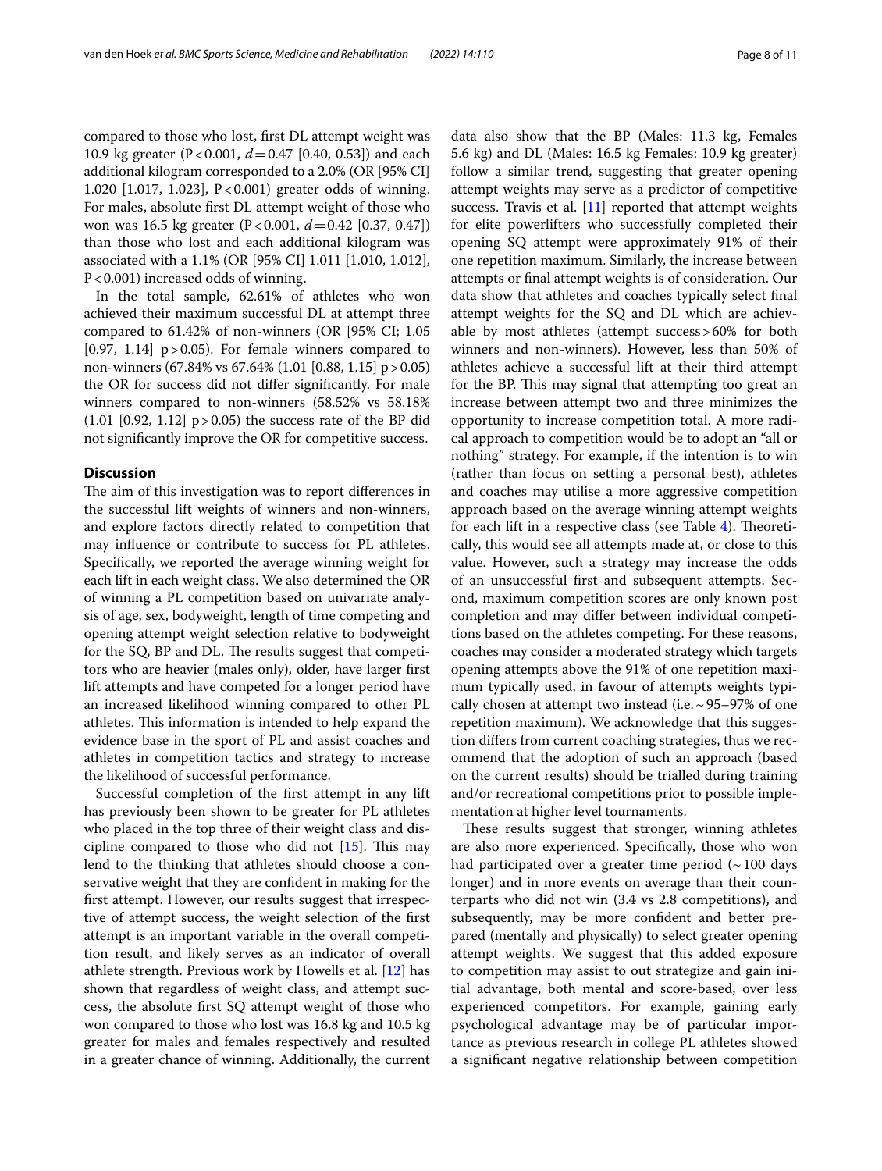For males, absolute frst DL attempt weight of those who won was 16.5 kg greater (P<0.001, *d*=0.42 [0.37, 0.47]) than those who lost and each additional kilogram was associated with a 1.1% (OR [95% CI] 1.011 [1.010, 1.012], P<0.001) increased odds of winning.

In the total sample, 62.61% of athletes who won achieved their maximum successful DL at attempt three compared to 61.42% of non-winners (OR [95% CI; 1.05  $[0.97, 1.14]$  p>0.05). For female winners compared to non-winners (67.84% vs 67.64% (1.01 [0.88, 1.15] p>0.05) the OR for success did not difer signifcantly. For male winners compared to non-winners (58.52% vs 58.18%  $(1.01 \; [0.92, 1.12] \; p > 0.05)$  the success rate of the BP did not signifcantly improve the OR for competitive success.

## **Discussion**

The aim of this investigation was to report differences in the successful lift weights of winners and non-winners, and explore factors directly related to competition that may infuence or contribute to success for PL athletes. Specifcally, we reported the average winning weight for each lift in each weight class. We also determined the OR of winning a PL competition based on univariate analysis of age, sex, bodyweight, length of time competing and opening attempt weight selection relative to bodyweight for the SQ, BP and DL. The results suggest that competitors who are heavier (males only), older, have larger frst lift attempts and have competed for a longer period have an increased likelihood winning compared to other PL athletes. This information is intended to help expand the evidence base in the sport of PL and assist coaches and athletes in competition tactics and strategy to increase the likelihood of successful performance.

Successful completion of the frst attempt in any lift has previously been shown to be greater for PL athletes who placed in the top three of their weight class and discipline compared to those who did not  $[15]$  $[15]$ . This may lend to the thinking that athletes should choose a conservative weight that they are confdent in making for the frst attempt. However, our results suggest that irrespective of attempt success, the weight selection of the frst attempt is an important variable in the overall competition result, and likely serves as an indicator of overall athlete strength. Previous work by Howells et al. [\[12\]](#page-10-9) has shown that regardless of weight class, and attempt success, the absolute frst SQ attempt weight of those who won compared to those who lost was 16.8 kg and 10.5 kg greater for males and females respectively and resulted in a greater chance of winning. Additionally, the current data also show that the BP (Males: 11.3 kg, Females 5.6 kg) and DL (Males: 16.5 kg Females: 10.9 kg greater) follow a similar trend, suggesting that greater opening attempt weights may serve as a predictor of competitive success. Travis et al. [[11](#page-10-10)] reported that attempt weights for elite powerlifters who successfully completed their opening SQ attempt were approximately 91% of their one repetition maximum. Similarly, the increase between attempts or fnal attempt weights is of consideration. Our data show that athletes and coaches typically select fnal attempt weights for the SQ and DL which are achievable by most athletes (attempt success>60% for both winners and non-winners). However, less than 50% of athletes achieve a successful lift at their third attempt for the BP. This may signal that attempting too great an increase between attempt two and three minimizes the opportunity to increase competition total. A more radical approach to competition would be to adopt an "all or nothing" strategy. For example, if the intention is to win (rather than focus on setting a personal best), athletes and coaches may utilise a more aggressive competition approach based on the average winning attempt weights for each lift in a respective class (see Table  $4$ ). Theoretically, this would see all attempts made at, or close to this value. However, such a strategy may increase the odds of an unsuccessful frst and subsequent attempts. Second, maximum competition scores are only known post completion and may difer between individual competitions based on the athletes competing. For these reasons, coaches may consider a moderated strategy which targets opening attempts above the 91% of one repetition maximum typically used, in favour of attempts weights typically chosen at attempt two instead (i.e.  $\sim$  95–97% of one repetition maximum). We acknowledge that this suggestion difers from current coaching strategies, thus we recommend that the adoption of such an approach (based on the current results) should be trialled during training and/or recreational competitions prior to possible implementation at higher level tournaments.

These results suggest that stronger, winning athletes are also more experienced. Specifcally, those who won had participated over a greater time period  $(\sim 100 \text{ days})$ longer) and in more events on average than their counterparts who did not win (3.4 vs 2.8 competitions), and subsequently, may be more confdent and better prepared (mentally and physically) to select greater opening attempt weights. We suggest that this added exposure to competition may assist to out strategize and gain initial advantage, both mental and score-based, over less experienced competitors. For example, gaining early psychological advantage may be of particular importance as previous research in college PL athletes showed a signifcant negative relationship between competition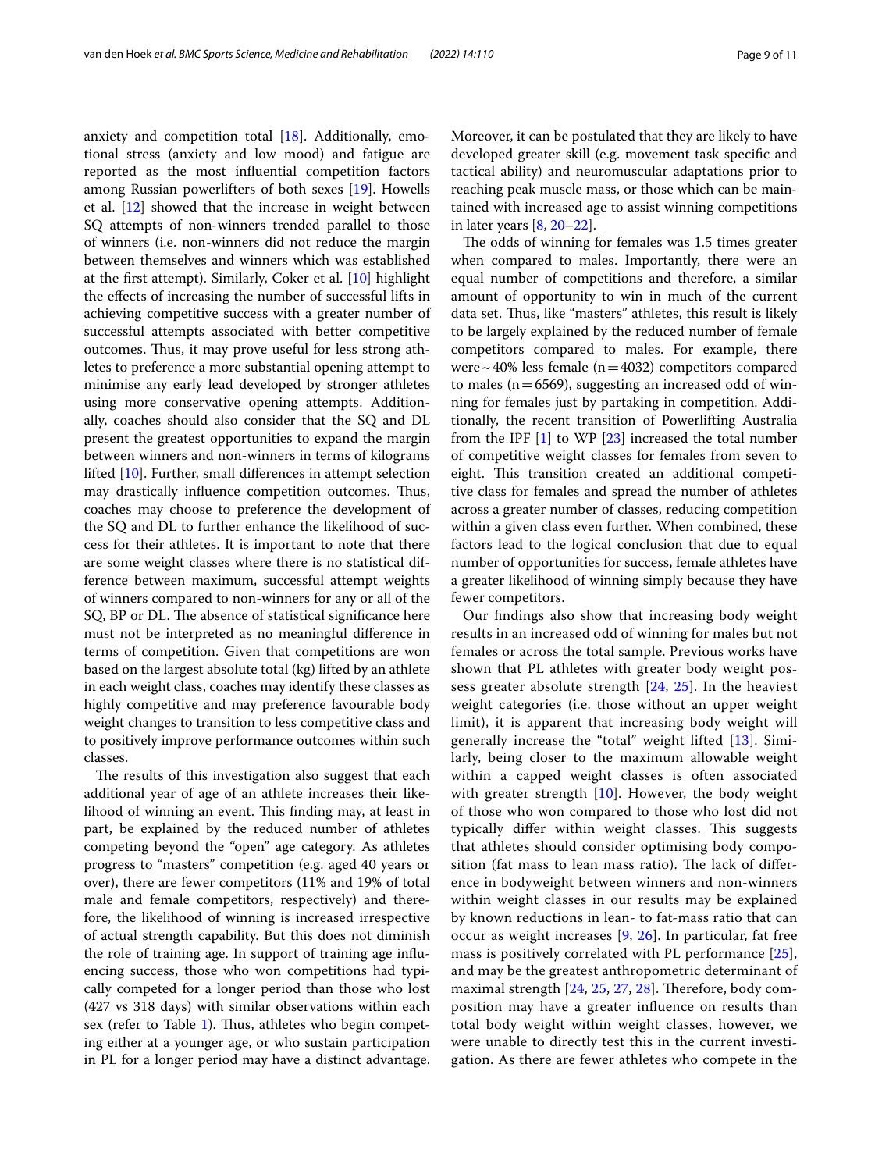anxiety and competition total [\[18\]](#page-10-16). Additionally, emotional stress (anxiety and low mood) and fatigue are reported as the most infuential competition factors among Russian powerlifters of both sexes [[19\]](#page-10-17). Howells et al. [\[12\]](#page-10-9) showed that the increase in weight between SQ attempts of non-winners trended parallel to those of winners (i.e. non-winners did not reduce the margin between themselves and winners which was established at the frst attempt). Similarly, Coker et al. [[10\]](#page-10-8) highlight the efects of increasing the number of successful lifts in achieving competitive success with a greater number of successful attempts associated with better competitive outcomes. Thus, it may prove useful for less strong athletes to preference a more substantial opening attempt to minimise any early lead developed by stronger athletes using more conservative opening attempts. Additionally, coaches should also consider that the SQ and DL present the greatest opportunities to expand the margin between winners and non-winners in terms of kilograms lifted [[10\]](#page-10-8). Further, small diferences in attempt selection may drastically influence competition outcomes. Thus, coaches may choose to preference the development of the SQ and DL to further enhance the likelihood of success for their athletes. It is important to note that there are some weight classes where there is no statistical difference between maximum, successful attempt weights of winners compared to non-winners for any or all of the SQ, BP or DL. The absence of statistical significance here must not be interpreted as no meaningful diference in terms of competition. Given that competitions are won based on the largest absolute total (kg) lifted by an athlete in each weight class, coaches may identify these classes as highly competitive and may preference favourable body weight changes to transition to less competitive class and to positively improve performance outcomes within such classes.

The results of this investigation also suggest that each additional year of age of an athlete increases their likelihood of winning an event. This finding may, at least in part, be explained by the reduced number of athletes competing beyond the "open" age category. As athletes progress to "masters" competition (e.g. aged 40 years or over), there are fewer competitors (11% and 19% of total male and female competitors, respectively) and therefore, the likelihood of winning is increased irrespective of actual strength capability. But this does not diminish the role of training age. In support of training age infuencing success, those who won competitions had typically competed for a longer period than those who lost (427 vs 318 days) with similar observations within each sex (refer to Table [1\)](#page-2-0). Thus, athletes who begin competing either at a younger age, or who sustain participation in PL for a longer period may have a distinct advantage. Moreover, it can be postulated that they are likely to have developed greater skill (e.g. movement task specifc and tactical ability) and neuromuscular adaptations prior to reaching peak muscle mass, or those which can be maintained with increased age to assist winning competitions in later years [\[8](#page-10-5), [20–](#page-10-18)[22](#page-10-19)].

The odds of winning for females was 1.5 times greater when compared to males. Importantly, there were an equal number of competitions and therefore, a similar amount of opportunity to win in much of the current data set. Thus, like "masters" athletes, this result is likely to be largely explained by the reduced number of female competitors compared to males. For example, there were ~40% less female ( $n=4032$ ) competitors compared to males ( $n=6569$ ), suggesting an increased odd of winning for females just by partaking in competition. Additionally, the recent transition of Powerlifting Australia from the IPF [[1\]](#page-10-0) to WP [[23](#page-10-20)] increased the total number of competitive weight classes for females from seven to eight. This transition created an additional competitive class for females and spread the number of athletes across a greater number of classes, reducing competition within a given class even further. When combined, these factors lead to the logical conclusion that due to equal number of opportunities for success, female athletes have a greater likelihood of winning simply because they have fewer competitors.

Our fndings also show that increasing body weight results in an increased odd of winning for males but not females or across the total sample. Previous works have shown that PL athletes with greater body weight possess greater absolute strength [\[24](#page-10-21), [25](#page-10-22)]. In the heaviest weight categories (i.e. those without an upper weight limit), it is apparent that increasing body weight will generally increase the "total" weight lifted [[13](#page-10-11)]. Similarly, being closer to the maximum allowable weight within a capped weight classes is often associated with greater strength [\[10](#page-10-8)]. However, the body weight of those who won compared to those who lost did not typically differ within weight classes. This suggests that athletes should consider optimising body composition (fat mass to lean mass ratio). The lack of difference in bodyweight between winners and non-winners within weight classes in our results may be explained by known reductions in lean- to fat-mass ratio that can occur as weight increases [[9](#page-10-7), [26\]](#page-10-23). In particular, fat free mass is positively correlated with PL performance [[25](#page-10-22)], and may be the greatest anthropometric determinant of maximal strength [[24,](#page-10-21) [25,](#page-10-22) [27,](#page-10-24) [28\]](#page-10-25). Therefore, body composition may have a greater infuence on results than total body weight within weight classes, however, we were unable to directly test this in the current investigation. As there are fewer athletes who compete in the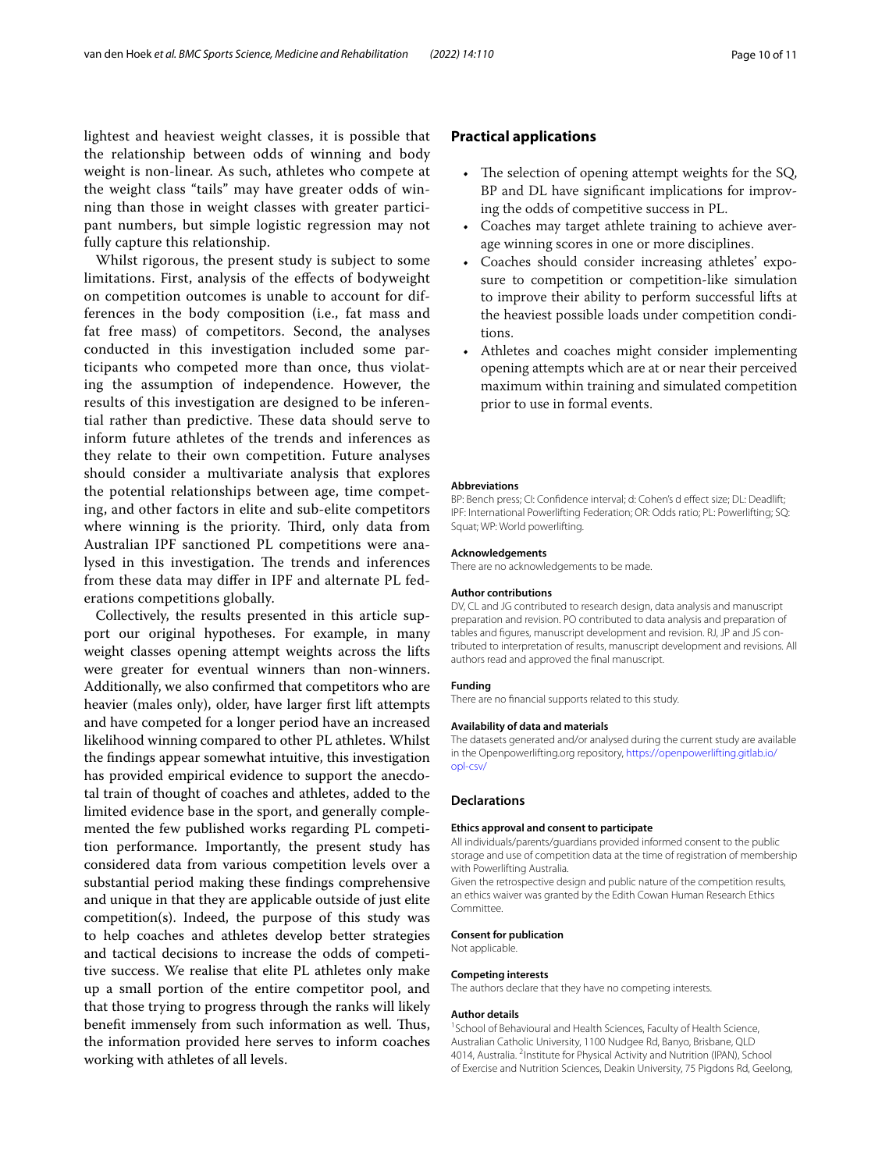lightest and heaviest weight classes, it is possible that the relationship between odds of winning and body weight is non-linear. As such, athletes who compete at the weight class "tails" may have greater odds of winning than those in weight classes with greater participant numbers, but simple logistic regression may not fully capture this relationship.

Whilst rigorous, the present study is subject to some limitations. First, analysis of the efects of bodyweight on competition outcomes is unable to account for differences in the body composition (i.e., fat mass and fat free mass) of competitors. Second, the analyses conducted in this investigation included some participants who competed more than once, thus violating the assumption of independence. However, the results of this investigation are designed to be inferential rather than predictive. These data should serve to inform future athletes of the trends and inferences as they relate to their own competition. Future analyses should consider a multivariate analysis that explores the potential relationships between age, time competing, and other factors in elite and sub-elite competitors where winning is the priority. Third, only data from Australian IPF sanctioned PL competitions were analysed in this investigation. The trends and inferences from these data may difer in IPF and alternate PL federations competitions globally.

Collectively, the results presented in this article support our original hypotheses. For example, in many weight classes opening attempt weights across the lifts were greater for eventual winners than non-winners. Additionally, we also confrmed that competitors who are heavier (males only), older, have larger frst lift attempts and have competed for a longer period have an increased likelihood winning compared to other PL athletes. Whilst the fndings appear somewhat intuitive, this investigation has provided empirical evidence to support the anecdotal train of thought of coaches and athletes, added to the limited evidence base in the sport, and generally complemented the few published works regarding PL competition performance. Importantly, the present study has considered data from various competition levels over a substantial period making these fndings comprehensive and unique in that they are applicable outside of just elite competition(s). Indeed, the purpose of this study was to help coaches and athletes develop better strategies and tactical decisions to increase the odds of competitive success. We realise that elite PL athletes only make up a small portion of the entire competitor pool, and that those trying to progress through the ranks will likely benefit immensely from such information as well. Thus, the information provided here serves to inform coaches working with athletes of all levels.

## **Practical applications**

- The selection of opening attempt weights for the  $SQ$ , BP and DL have signifcant implications for improving the odds of competitive success in PL.
- Coaches may target athlete training to achieve average winning scores in one or more disciplines.
- Coaches should consider increasing athletes' exposure to competition or competition-like simulation to improve their ability to perform successful lifts at the heaviest possible loads under competition conditions.
- Athletes and coaches might consider implementing opening attempts which are at or near their perceived maximum within training and simulated competition prior to use in formal events.

#### **Abbreviations**

BP: Bench press; CI: Confdence interval; d: Cohen's d efect size; DL: Deadlift; IPF: International Powerlifting Federation; OR: Odds ratio; PL: Powerlifting; SQ: Squat; WP: World powerlifting.

#### **Acknowledgements**

There are no acknowledgements to be made.

#### **Author contributions**

DV, CL and JG contributed to research design, data analysis and manuscript preparation and revision. PO contributed to data analysis and preparation of tables and fgures, manuscript development and revision. RJ, JP and JS contributed to interpretation of results, manuscript development and revisions. All authors read and approved the fnal manuscript.

## **Funding**

There are no fnancial supports related to this study.

#### **Availability of data and materials**

The datasets generated and/or analysed during the current study are available in the Openpowerlifting.org repository, [https://openpowerlifting.gitlab.io/](https://openpowerlifting.gitlab.io/opl-csv/) [opl-csv/](https://openpowerlifting.gitlab.io/opl-csv/)

#### **Declarations**

#### **Ethics approval and consent to participate**

All individuals/parents/guardians provided informed consent to the public storage and use of competition data at the time of registration of membership with Powerlifting Australia.

Given the retrospective design and public nature of the competition results, an ethics waiver was granted by the Edith Cowan Human Research Ethics Committee.

#### **Consent for publication**

Not applicable.

## **Competing interests**

The authors declare that they have no competing interests.

#### **Author details**

<sup>1</sup> School of Behavioural and Health Sciences, Faculty of Health Science, Australian Catholic University, 1100 Nudgee Rd, Banyo, Brisbane, QLD 4014, Australia. <sup>2</sup>Institute for Physical Activity and Nutrition (IPAN), School of Exercise and Nutrition Sciences, Deakin University, 75 Pigdons Rd, Geelong,